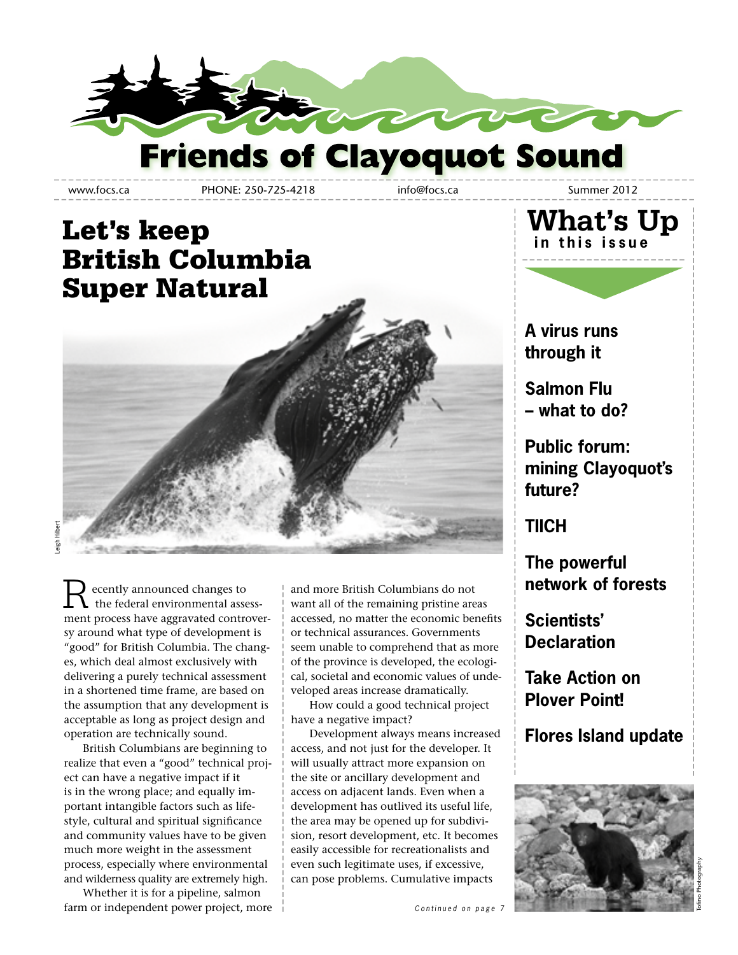

www.focs.ca PHONE: 250-725-4218 info@focs.ca Summer 2012

### Let's keep British Columbia Super Natural



Leigh Hilbert

 ecently announced changes to the federal environmental assessment process have aggravated controversy around what type of development is "good" for British Columbia. The changes, which deal almost exclusively with delivering a purely technical assessment in a shortened time frame, are based on the assumption that any development is acceptable as long as project design and operation are technically sound. R

 British Columbians are beginning to realize that even a "good" technical project can have a negative impact if it is in the wrong place; and equally important intangible factors such as lifestyle, cultural and spiritual significance and community values have to be given much more weight in the assessment process, especially where environmental and wilderness quality are extremely high.

 Whether it is for a pipeline, salmon farm or independent power project, more and more British Columbians do not want all of the remaining pristine areas accessed, no matter the economic benefits or technical assurances. Governments seem unable to comprehend that as more of the province is developed, the ecological, societal and economic values of undeveloped areas increase dramatically.

 How could a good technical project have a negative impact?

 Development always means increased access, and not just for the developer. It will usually attract more expansion on the site or ancillary development and access on adjacent lands. Even when a development has outlived its useful life, the area may be opened up for subdivision, resort development, etc. It becomes easily accessible for recreationalists and even such legitimate uses, if excessive, can pose problems. Cumulative impacts



**A virus runs through it**

**Salmon Flu – what to do?**

**Public forum: mining Clayoquot's future?**

**TIICH**

**The powerful network of forests**

**Scientists' Declaration**

**Take Action on Plover Point!**

**Flores Island update**

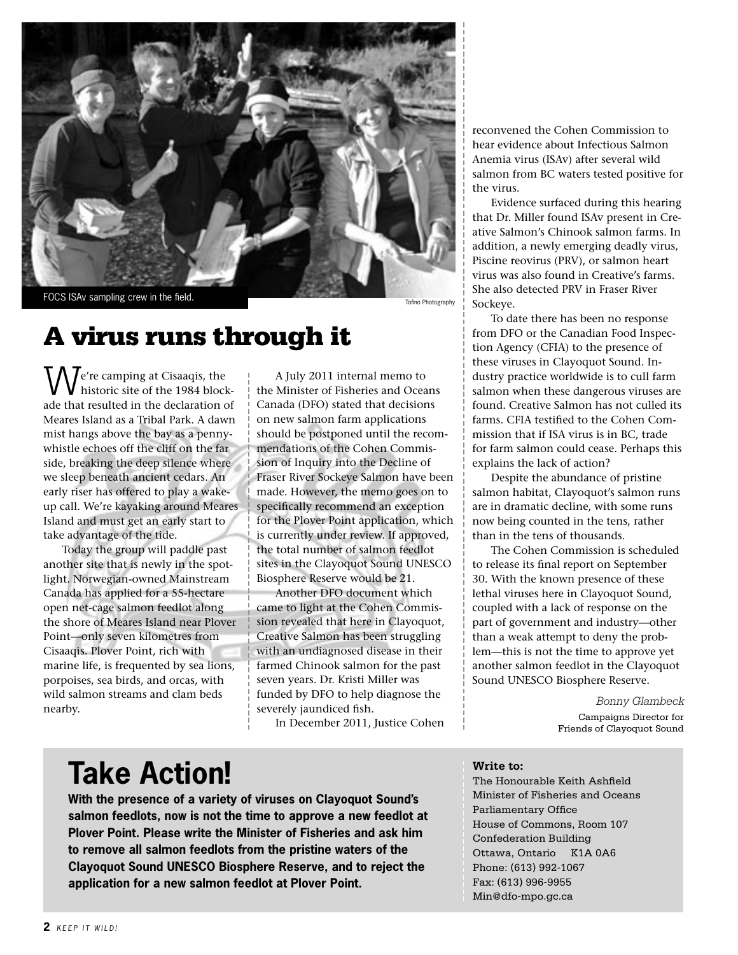

FOCS ISAv sampling crew in the field.

Tofino Photography

### A virus runs through it

**II**  $\ell$  e're camping at Cisaaqis, the historic site of the 1984 blockade that resulted in the declaration of Meares Island as a Tribal Park. A dawn mist hangs above the bay as a pennywhistle echoes off the cliff on the far side, breaking the deep silence where we sleep beneath ancient cedars. An early riser has offered to play a wakeup call. We're kayaking around Meares Island and must get an early start to take advantage of the tide. W

 Today the group will paddle past another site that is newly in the spotlight. Norwegian-owned Mainstream Canada has applied for a 55-hectare open net-cage salmon feedlot along the shore of Meares Island near Plover Point—only seven kilometres from Cisaaqis. Plover Point, rich with marine life, is frequented by sea lions, porpoises, sea birds, and orcas, with wild salmon streams and clam beds nearby.

 A July 2011 internal memo to the Minister of Fisheries and Oceans Canada (DFO) stated that decisions on new salmon farm applications should be postponed until the recommendations of the Cohen Commission of Inquiry into the Decline of Fraser River Sockeye Salmon have been made. However, the memo goes on to specifically recommend an exception for the Plover Point application, which is currently under review. If approved, the total number of salmon feedlot sites in the Clayoquot Sound UNESCO Biosphere Reserve would be 21.

 Another DFO document which came to light at the Cohen Commission revealed that here in Clayoquot, Creative Salmon has been struggling with an undiagnosed disease in their farmed Chinook salmon for the past seven years. Dr. Kristi Miller was funded by DFO to help diagnose the severely jaundiced fish.

In December 2011, Justice Cohen

reconvened the Cohen Commission to hear evidence about Infectious Salmon Anemia virus (ISAv) after several wild salmon from BC waters tested positive for the virus.

 Evidence surfaced during this hearing that Dr. Miller found ISAv present in Creative Salmon's Chinook salmon farms. In addition, a newly emerging deadly virus, Piscine reovirus (PRV), or salmon heart virus was also found in Creative's farms. She also detected PRV in Fraser River Sockeye.

 To date there has been no response from DFO or the Canadian Food Inspection Agency (CFIA) to the presence of these viruses in Clayoquot Sound. Industry practice worldwide is to cull farm salmon when these dangerous viruses are found. Creative Salmon has not culled its farms. CFIA testified to the Cohen Commission that if ISA virus is in BC, trade for farm salmon could cease. Perhaps this explains the lack of action?

 Despite the abundance of pristine salmon habitat, Clayoquot's salmon runs are in dramatic decline, with some runs now being counted in the tens, rather than in the tens of thousands.

 The Cohen Commission is scheduled to release its final report on September 30. With the known presence of these lethal viruses here in Clayoquot Sound, coupled with a lack of response on the part of government and industry—other than a weak attempt to deny the problem—this is not the time to approve yet another salmon feedlot in the Clayoquot Sound UNESCO Biosphere Reserve.

> *Bonny Glambeck* Campaigns Director for Friends of Clayoquot Sound

# **Take Action!**

**With the presence of a variety of viruses on Clayoquot Sound's salmon feedlots, now is not the time to approve a new feedlot at Plover Point. Please write the Minister of Fisheries and ask him to remove all salmon feedlots from the pristine waters of the Clayoquot Sound UNESCO Biosphere Reserve, and to reject the application for a new salmon feedlot at Plover Point.**

### **Write to:**

The Honourable Keith Ashfield Minister of Fisheries and Oceans Parliamentary Office House of Commons, Room 107 Confederation Building Ottawa, Ontario K1A 0A6 Phone: (613) 992-1067 Fax: (613) 996-9955 Min@dfo-mpo.gc.ca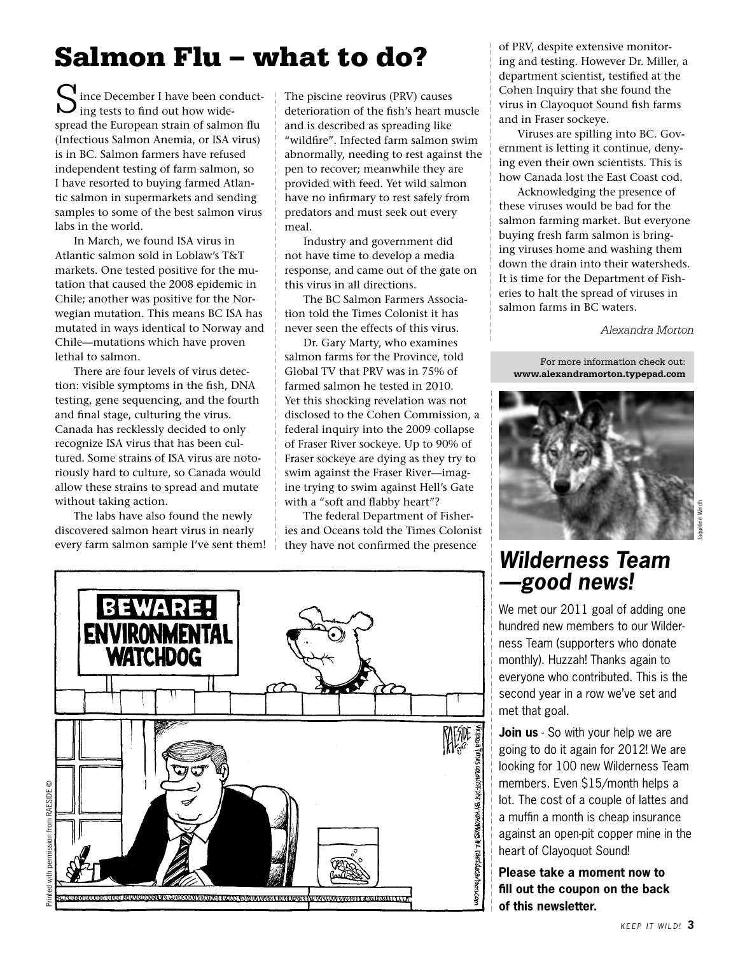## Salmon Flu – what to do?

S ince December I have been conduct ing tests to find out how widespread the European strain of salmon flu (Infectious Salmon Anemia, or ISA virus) is in BC. Salmon farmers have refused independent testing of farm salmon, so I have resorted to buying farmed Atlantic salmon in supermarkets and sending samples to some of the best salmon virus labs in the world.

 In March, we found ISA virus in Atlantic salmon sold in Loblaw's T&T markets. One tested positive for the mutation that caused the 2008 epidemic in Chile; another was positive for the Norwegian mutation. This means BC ISA has mutated in ways identical to Norway and Chile—mutations which have proven lethal to salmon.

 There are four levels of virus detection: visible symptoms in the fish, DNA testing, gene sequencing, and the fourth and final stage, culturing the virus. Canada has recklessly decided to only recognize ISA virus that has been cultured. Some strains of ISA virus are notoriously hard to culture, so Canada would allow these strains to spread and mutate without taking action.

 The labs have also found the newly discovered salmon heart virus in nearly every farm salmon sample I've sent them!

The piscine reovirus (PRV) causes deterioration of the fish's heart muscle and is described as spreading like "wildfire". Infected farm salmon swim abnormally, needing to rest against the pen to recover; meanwhile they are provided with feed. Yet wild salmon have no infirmary to rest safely from predators and must seek out every meal.

 Industry and government did not have time to develop a media response, and came out of the gate on this virus in all directions.

 The BC Salmon Farmers Association told the Times Colonist it has never seen the effects of this virus.

 Dr. Gary Marty, who examines salmon farms for the Province, told Global TV that PRV was in 75% of farmed salmon he tested in 2010. Yet this shocking revelation was not disclosed to the Cohen Commission, a federal inquiry into the 2009 collapse of Fraser River sockeye. Up to 90% of Fraser sockeye are dying as they try to swim against the Fraser River—imagine trying to swim against Hell's Gate with a "soft and flabby heart"?

 The federal Department of Fisheries and Oceans told the Times Colonist they have not confirmed the presence



of PRV, despite extensive monitoring and testing. However Dr. Miller, a department scientist, testified at the Cohen Inquiry that she found the virus in Clayoquot Sound fish farms and in Fraser sockeye.

 Viruses are spilling into BC. Government is letting it continue, denying even their own scientists. This is how Canada lost the East Coast cod.

 Acknowledging the presence of these viruses would be bad for the salmon farming market. But everyone buying fresh farm salmon is bringing viruses home and washing them down the drain into their watersheds. It is time for the Department of Fisheries to halt the spread of viruses in salmon farms in BC waters.

*Alexandra Morton*

For more information check out: **www.alexandramorton.typepad.com**



### **Wilderness Team —good news!**

We met our 2011 goal of adding one hundred new members to our Wilderness Team (supporters who donate monthly). Huzzah! Thanks again to everyone who contributed. This is the second year in a row we've set and met that goal.

**Join us** - So with your help we are going to do it again for 2012! We are looking for 100 new Wilderness Team members. Even \$15/month helps a lot. The cost of a couple of lattes and a muffin a month is cheap insurance against an open-pit copper mine in the heart of Clayoquot Sound!

**Please take a moment now to fill out the coupon on the back of this newsletter.**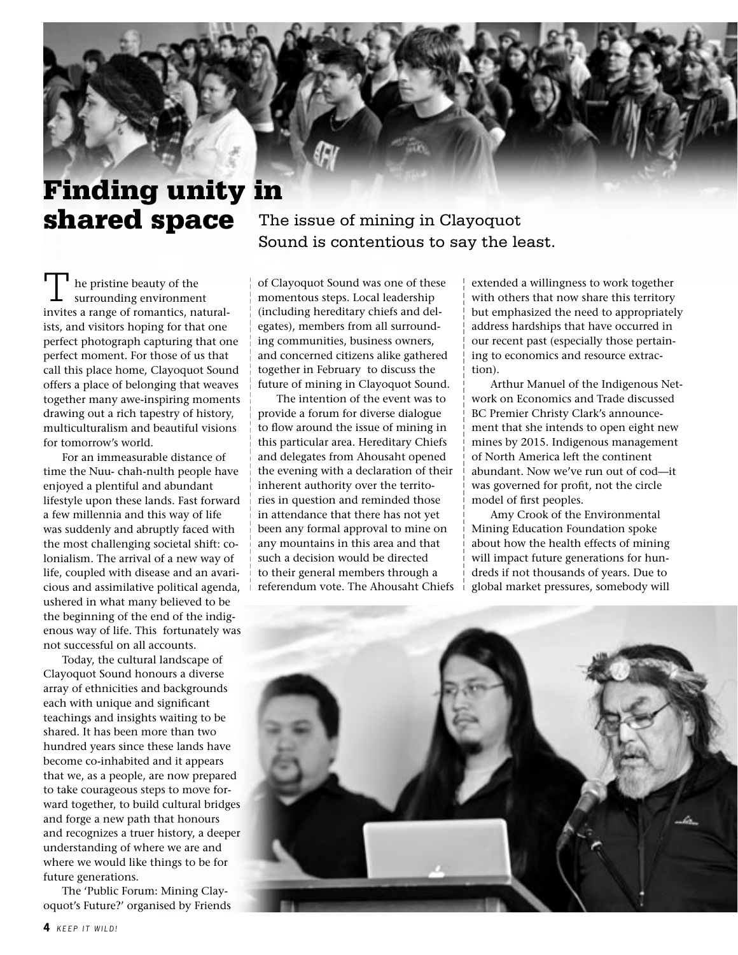### Finding unity in shared space

 he pristine beauty of the surrounding environment invites a range of romantics, naturalists, and visitors hoping for that one perfect photograph capturing that one perfect moment. For those of us that call this place home, Clayoquot Sound offers a place of belonging that weaves together many awe-inspiring moments drawing out a rich tapestry of history, multiculturalism and beautiful visions for tomorrow's world. T

 For an immeasurable distance of time the Nuu- chah-nulth people have enjoyed a plentiful and abundant lifestyle upon these lands. Fast forward a few millennia and this way of life was suddenly and abruptly faced with the most challenging societal shift: colonialism. The arrival of a new way of life, coupled with disease and an avaricious and assimilative political agenda, ushered in what many believed to be the beginning of the end of the indigenous way of life. This fortunately was not successful on all accounts.

 Today, the cultural landscape of Clayoquot Sound honours a diverse array of ethnicities and backgrounds each with unique and significant teachings and insights waiting to be shared. It has been more than two hundred years since these lands have become co-inhabited and it appears that we, as a people, are now prepared to take courageous steps to move forward together, to build cultural bridges and forge a new path that honours and recognizes a truer history, a deeper understanding of where we are and where we would like things to be for future generations.

 The 'Public Forum: Mining Clayoquot's Future?' organised by Friends The issue of mining in Clayoquot Sound is contentious to say the least.

of Clayoquot Sound was one of these momentous steps. Local leadership (including hereditary chiefs and delegates), members from all surrounding communities, business owners, and concerned citizens alike gathered together in February to discuss the future of mining in Clayoquot Sound.

 The intention of the event was to provide a forum for diverse dialogue to flow around the issue of mining in this particular area. Hereditary Chiefs and delegates from Ahousaht opened the evening with a declaration of their inherent authority over the territories in question and reminded those in attendance that there has not yet been any formal approval to mine on any mountains in this area and that such a decision would be directed to their general members through a referendum vote. The Ahousaht Chiefs extended a willingness to work together with others that now share this territory but emphasized the need to appropriately address hardships that have occurred in our recent past (especially those pertaining to economics and resource extraction).

 Arthur Manuel of the Indigenous Network on Economics and Trade discussed BC Premier Christy Clark's announcement that she intends to open eight new mines by 2015. Indigenous management of North America left the continent abundant. Now we've run out of cod—it was governed for profit, not the circle model of first peoples.

 Amy Crook of the Environmental Mining Education Foundation spoke about how the health effects of mining will impact future generations for hundreds if not thousands of years. Due to global market pressures, somebody will

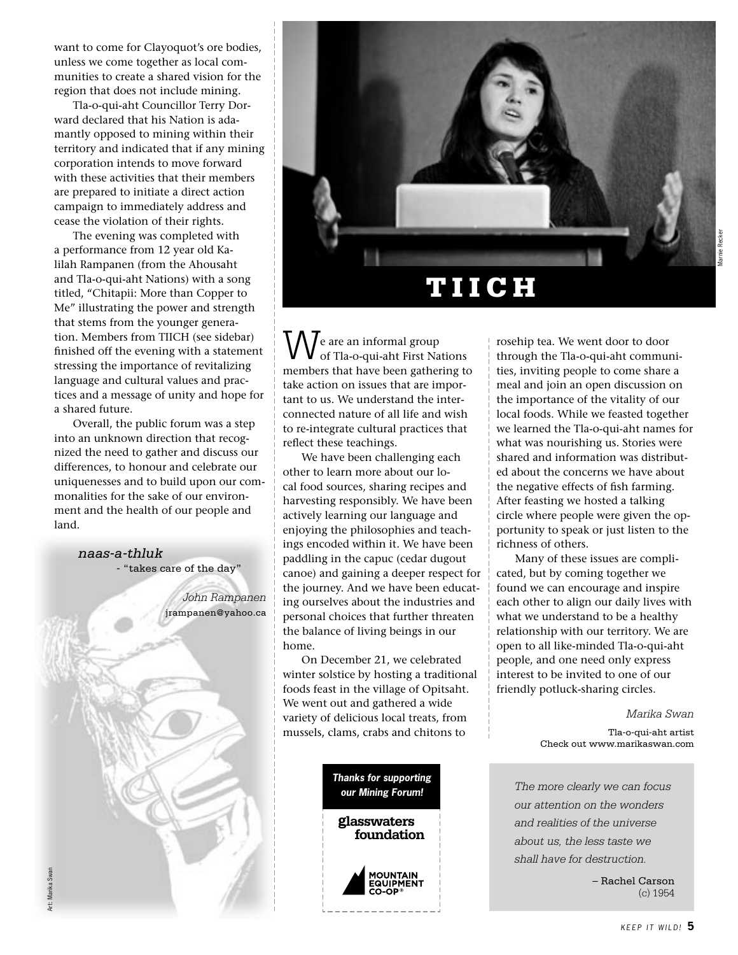want to come for Clayoquot's ore bodies, unless we come together as local communities to create a shared vision for the region that does not include mining.

 Tla-o-qui-aht Councillor Terry Dorward declared that his Nation is adamantly opposed to mining within their territory and indicated that if any mining corporation intends to move forward with these activities that their members are prepared to initiate a direct action campaign to immediately address and cease the violation of their rights.

 The evening was completed with a performance from 12 year old Kalilah Rampanen (from the Ahousaht and Tla-o-qui-aht Nations) with a song titled, "Chitapii: More than Copper to Me" illustrating the power and strength that stems from the younger generation. Members from TIICH (see sidebar) finished off the evening with a statement stressing the importance of revitalizing language and cultural values and practices and a message of unity and hope for a shared future.

 Overall, the public forum was a step into an unknown direction that recognized the need to gather and discuss our differences, to honour and celebrate our uniquenesses and to build upon our commonalities for the sake of our environment and the health of our people and land.

> *naas-a-thluk* - "takes care of the day" *John Rampanen* jrampanen@yahoo.ca

Art: Marika Swan

Art: Marika Swan



 e are an informal group of Tla-o-qui-aht First Nations members that have been gathering to take action on issues that are important to us. We understand the interconnected nature of all life and wish to re-integrate cultural practices that reflect these teachings.  $\bigvee$  e are an informal group<br>of Tla-o-qui-aht First Nations<br>through the Tla-o-qui-aht communi-

 We have been challenging each other to learn more about our local food sources, sharing recipes and harvesting responsibly. We have been actively learning our language and enjoying the philosophies and teachings encoded within it. We have been paddling in the capuc (cedar dugout canoe) and gaining a deeper respect for the journey. And we have been educating ourselves about the industries and personal choices that further threaten the balance of living beings in our home.

 On December 21, we celebrated winter solstice by hosting a traditional foods feast in the village of Opitsaht. We went out and gathered a wide variety of delicious local treats, from mussels, clams, crabs and chitons to



ties, inviting people to come share a meal and join an open discussion on the importance of the vitality of our local foods. While we feasted together we learned the Tla-o-qui-aht names for what was nourishing us. Stories were shared and information was distributed about the concerns we have about the negative effects of fish farming. After feasting we hosted a talking circle where people were given the opportunity to speak or just listen to the richness of others.

 Many of these issues are complicated, but by coming together we found we can encourage and inspire each other to align our daily lives with what we understand to be a healthy relationship with our territory. We are open to all like-minded Tla-o-qui-aht people, and one need only express interest to be invited to one of our friendly potluck-sharing circles.

> *Marika Swan* Tla-o-qui-aht artist Check out www.marikaswan.com

*The more clearly we can focus our attention on the wonders and realities of the universe about us, the less taste we shall have for destruction.*

> – Rachel Carson (c) 1954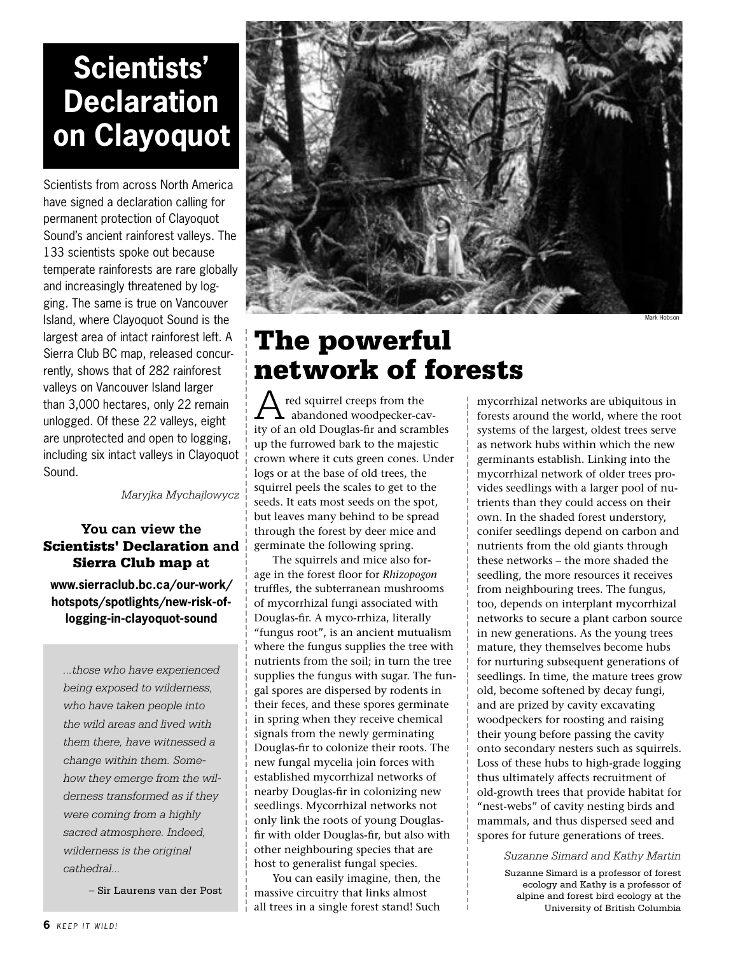# **Scientists' Declaration on Clayoquot**

Scientists from across North America have signed a declaration calling for permanent protection of Clayoquot Sound's ancient rainforest valleys. The 133 scientists spoke out because temperate rainforests are rare globally and increasingly threatened by logging. The same is true on Vancouver Island, where Clayoquot Sound is the largest area of intact rainforest left. A Sierra Club BC map, released concurrently, shows that of 282 rainforest valleys on Vancouver Island larger than 3,000 hectares, only 22 remain unlogged. Of these 22 valleys, eight are unprotected and open to logging, including six intact valleys in Clayoquot Sound.

*Maryjka Mychajlowycz*

### **You can view the**  Scientists' Declaration **and**  Sierra Club map **at**

**www.sierraclub.bc.ca/our-work/ hotspots/spotlights/new-risk-oflogging-in-clayoquot-sound**

*...those who have experienced being exposed to wilderness, who have taken people into the wild areas and lived with them there, have witnessed a change within them. Somehow they emerge from the wilderness transformed as if they were coming from a highly sacred atmosphere. Indeed, wilderness is the original cathedral...*

– Sir Laurens van der Post



### The powerful network of forests

 red squirrel creeps from the abandoned woodpecker-cavity of an old Douglas-fir and scrambles up the furrowed bark to the majestic crown where it cuts green cones. Under logs or at the base of old trees, the squirrel peels the scales to get to the seeds. It eats most seeds on the spot, but leaves many behind to be spread through the forest by deer mice and germinate the following spring. A

 The squirrels and mice also forage in the forest floor for *Rhizopogon* truffles, the subterranean mushrooms of mycorrhizal fungi associated with Douglas-fir. A myco-rrhiza, literally "fungus root", is an ancient mutualism where the fungus supplies the tree with nutrients from the soil; in turn the tree supplies the fungus with sugar. The fungal spores are dispersed by rodents in their feces, and these spores germinate in spring when they receive chemical signals from the newly germinating Douglas-fir to colonize their roots. The new fungal mycelia join forces with established mycorrhizal networks of nearby Douglas-fir in colonizing new seedlings. Mycorrhizal networks not only link the roots of young Douglasfir with older Douglas-fir, but also with other neighbouring species that are host to generalist fungal species.

 You can easily imagine, then, the massive circuitry that links almost all trees in a single forest stand! Such

mycorrhizal networks are ubiquitous in forests around the world, where the root systems of the largest, oldest trees serve as network hubs within which the new germinants establish. Linking into the mycorrhizal network of older trees provides seedlings with a larger pool of nutrients than they could access on their own. In the shaded forest understory, conifer seedlings depend on carbon and nutrients from the old giants through these networks – the more shaded the seedling, the more resources it receives from neighbouring trees. The fungus, too, depends on interplant mycorrhizal networks to secure a plant carbon source in new generations. As the young trees mature, they themselves become hubs for nurturing subsequent generations of seedlings. In time, the mature trees grow old, become softened by decay fungi, and are prized by cavity excavating woodpeckers for roosting and raising their young before passing the cavity onto secondary nesters such as squirrels. Loss of these hubs to high-grade logging thus ultimately affects recruitment of old-growth trees that provide habitat for "nest-webs" of cavity nesting birds and mammals, and thus dispersed seed and spores for future generations of trees.

*Suzanne Simard and Kathy Martin*

Suzanne Simard is a professor of forest ecology and Kathy is a professor of alpine and forest bird ecology at the University of British Columbia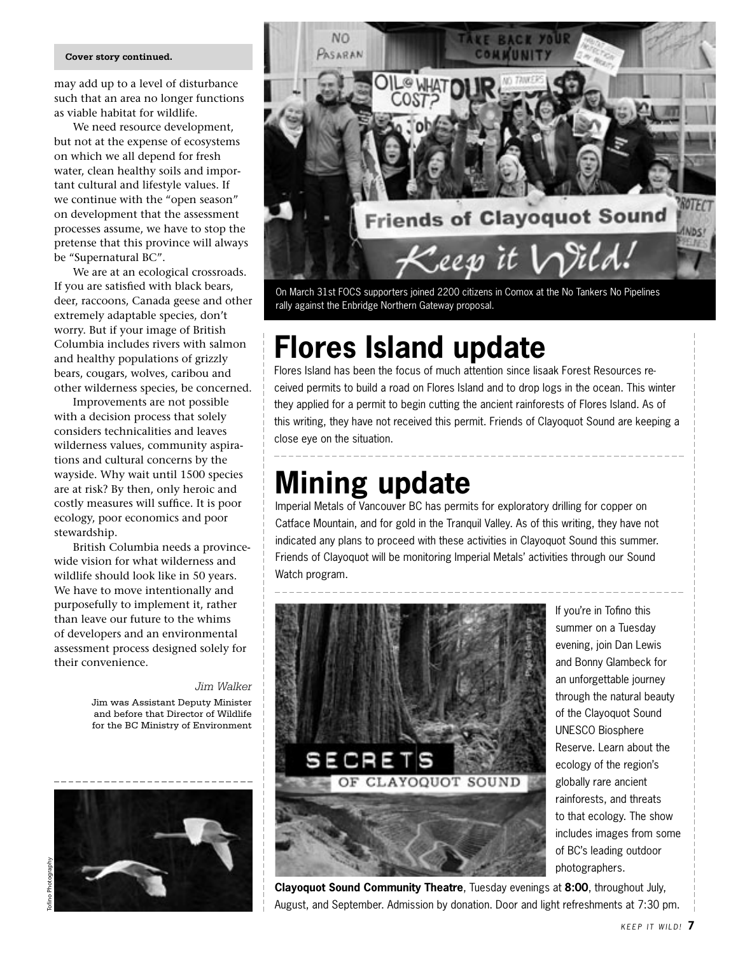#### **Cover story continued.**

may add up to a level of disturbance such that an area no longer functions as viable habitat for wildlife.

 We need resource development, but not at the expense of ecosystems on which we all depend for fresh water, clean healthy soils and important cultural and lifestyle values. If we continue with the "open season" on development that the assessment processes assume, we have to stop the pretense that this province will always be "Supernatural BC".

 We are at an ecological crossroads. If you are satisfied with black bears, deer, raccoons, Canada geese and other extremely adaptable species, don't worry. But if your image of British Columbia includes rivers with salmon and healthy populations of grizzly bears, cougars, wolves, caribou and other wilderness species, be concerned.

 Improvements are not possible with a decision process that solely considers technicalities and leaves wilderness values, community aspirations and cultural concerns by the wayside. Why wait until 1500 species are at risk? By then, only heroic and costly measures will suffice. It is poor ecology, poor economics and poor stewardship.

 British Columbia needs a provincewide vision for what wilderness and wildlife should look like in 50 years. We have to move intentionally and purposefully to implement it, rather than leave our future to the whims of developers and an environmental assessment process designed solely for their convenience.

> *Jim Walker* Jim was Assistant Deputy Minister and before that Director of Wildlife for the BC Ministry of Environment





On March 31st FOCS supporters joined 2200 citizens in Comox at the No Tankers No Pipelines rally against the Enbridge Northern Gateway proposal.

### **Flores Island update**

Flores Island has been the focus of much attention since Iisaak Forest Resources received permits to build a road on Flores Island and to drop logs in the ocean. This winter they applied for a permit to begin cutting the ancient rainforests of Flores Island. As of this writing, they have not received this permit. Friends of Clayoquot Sound are keeping a close eye on the situation.

### **Mining update**

Imperial Metals of Vancouver BC has permits for exploratory drilling for copper on Catface Mountain, and for gold in the Tranquil Valley. As of this writing, they have not indicated any plans to proceed with these activities in Clayoquot Sound this summer. Friends of Clayoquot will be monitoring Imperial Metals' activities through our Sound Watch program.



If you're in Tofino this summer on a Tuesday evening, join Dan Lewis and Bonny Glambeck for an unforgettable journey through the natural beauty of the Clayoquot Sound UNESCO Biosphere Reserve. Learn about the ecology of the region's globally rare ancient rainforests, and threats to that ecology. The show includes images from some of BC's leading outdoor photographers.

**Clayoquot Sound Community Theatre**, Tuesday evenings at **8:00**, throughout July, August, and September. Admission by donation. Door and light refreshments at 7:30 pm.